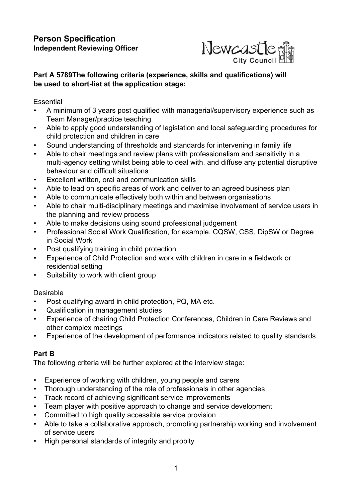

# **Part A 5789The following criteria (experience, skills and qualifications) will be used to short-list at the application stage:**

### **Essential**

- A minimum of 3 years post qualified with managerial/supervisory experience such as Team Manager/practice teaching
- Able to apply good understanding of legislation and local safeguarding procedures for child protection and children in care
- Sound understanding of thresholds and standards for intervening in family life
- Able to chair meetings and review plans with professionalism and sensitivity in a multi-agency setting whilst being able to deal with, and diffuse any potential disruptive behaviour and difficult situations
- Excellent written, oral and communication skills
- Able to lead on specific areas of work and deliver to an agreed business plan
- Able to communicate effectively both within and between organisations
- Able to chair multi-disciplinary meetings and maximise involvement of service users in the planning and review process
- Able to make decisions using sound professional judgement
- Professional Social Work Qualification, for example, CQSW, CSS, DipSW or Degree in Social Work
- Post qualifying training in child protection
- Experience of Child Protection and work with children in care in a fieldwork or residential setting
- Suitability to work with client group

### Desirable

- Post qualifying award in child protection, PQ, MA etc.
- Qualification in management studies
- Experience of chairing Child Protection Conferences, Children in Care Reviews and other complex meetings
- Experience of the development of performance indicators related to quality standards

# **Part B**

The following criteria will be further explored at the interview stage:

- Experience of working with children, young people and carers
- Thorough understanding of the role of professionals in other agencies
- Track record of achieving significant service improvements
- Team player with positive approach to change and service development
- Committed to high quality accessible service provision
- Able to take a collaborative approach, promoting partnership working and involvement of service users
- High personal standards of integrity and probity